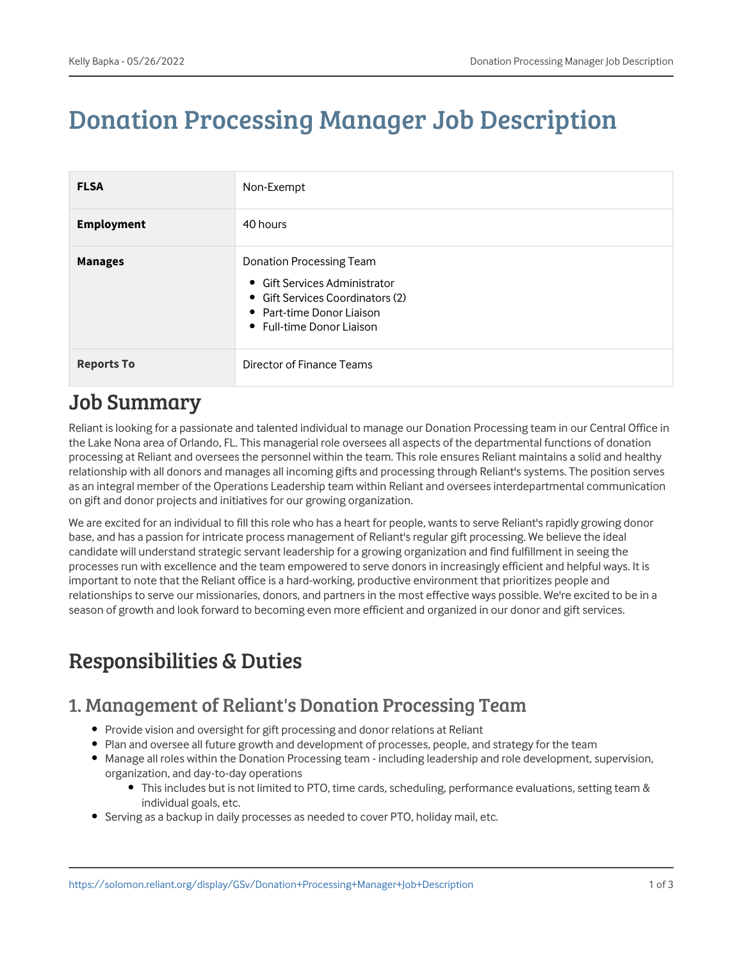# Donation Processing Manager Job Description

| <b>FLSA</b>       | Non-Exempt                                                                                                                                              |
|-------------------|---------------------------------------------------------------------------------------------------------------------------------------------------------|
| <b>Employment</b> | 40 hours                                                                                                                                                |
| <b>Manages</b>    | Donation Processing Team<br>• Gift Services Administrator<br>• Gift Services Coordinators (2)<br>• Part-time Donor Liaison<br>• Full-time Donor Liaison |
| <b>Reports To</b> | Director of Finance Teams                                                                                                                               |

### Job Summary

Reliant is looking for a passionate and talented individual to manage our Donation Processing team in our Central Office in the Lake Nona area of Orlando, FL. This managerial role oversees all aspects of the departmental functions of donation processing at Reliant and oversees the personnel within the team. This role ensures Reliant maintains a solid and healthy relationship with all donors and manages all incoming gifts and processing through Reliant's systems. The position serves as an integral member of the Operations Leadership team within Reliant and oversees interdepartmental communication on gift and donor projects and initiatives for our growing organization.

We are excited for an individual to fill this role who has a heart for people, wants to serve Reliant's rapidly growing donor base, and has a passion for intricate process management of Reliant's regular gift processing. We believe the ideal candidate will understand strategic servant leadership for a growing organization and find fulfillment in seeing the processes run with excellence and the team empowered to serve donors in increasingly efficient and helpful ways. It is important to note that the Reliant office is a hard-working, productive environment that prioritizes people and relationships to serve our missionaries, donors, and partners in the most effective ways possible. We're excited to be in a season of growth and look forward to becoming even more efficient and organized in our donor and gift services.

## Responsibilities & Duties

### 1. Management of Reliant's Donation Processing Team

- Provide vision and oversight for gift processing and donor relations at Reliant
- Plan and oversee all future growth and development of processes, people, and strategy for the team
- Manage all roles within the Donation Processing team including leadership and role development, supervision, organization, and day-to-day operations
	- This includes but is not limited to PTO, time cards, scheduling, performance evaluations, setting team & individual goals, etc.
- Serving as a backup in daily processes as needed to cover PTO, holiday mail, etc.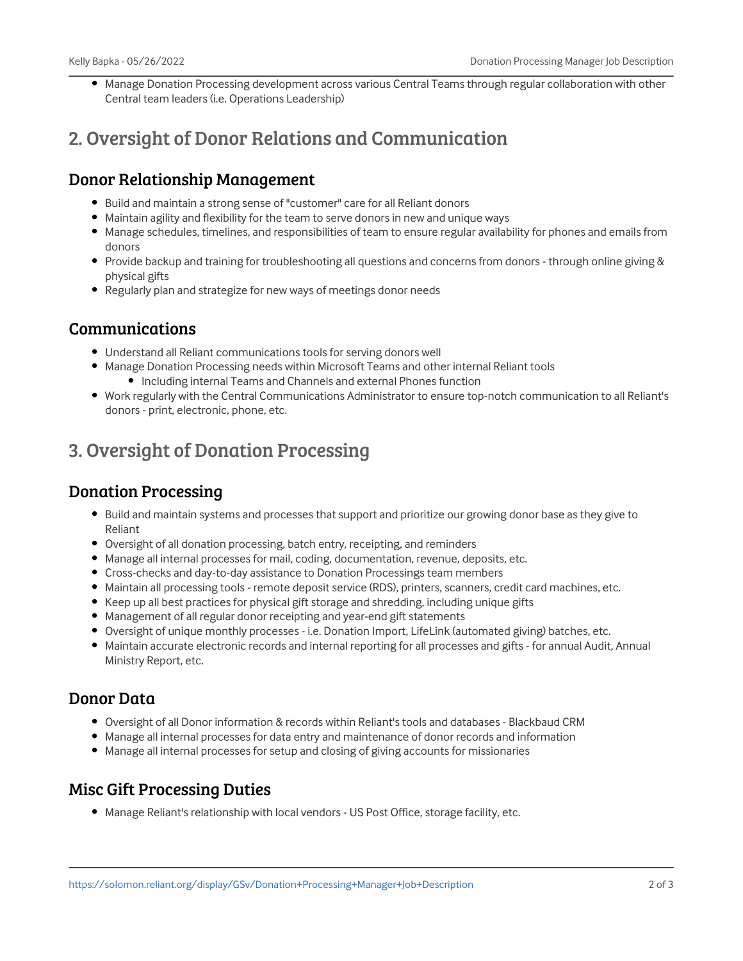• Manage Donation Processing development across various Central Teams through regular collaboration with other Central team leaders (i.e. Operations Leadership)

### 2. Oversight of Donor Relations and Communication

#### Donor Relationship Management

- Build and maintain a strong sense of "customer" care for all Reliant donors
- Maintain agility and flexibility for the team to serve donors in new and unique ways
- Manage schedules, timelines, and responsibilities of team to ensure regular availability for phones and emails from donors
- Provide backup and training for troubleshooting all questions and concerns from donors through online giving & physical gifts
- Regularly plan and strategize for new ways of meetings donor needs

#### Communications

- Understand all Reliant communications tools for serving donors well
- Manage Donation Processing needs within Microsoft Teams and other internal Reliant tools
	- Including internal Teams and Channels and external Phones function
- Work regularly with the Central Communications Administrator to ensure top-notch communication to all Reliant's donors - print, electronic, phone, etc.

### 3. Oversight of Donation Processing

#### Donation Processing

- Build and maintain systems and processes that support and prioritize our growing donor base as they give to Reliant
- Oversight of all donation processing, batch entry, receipting, and reminders
- Manage all internal processes for mail, coding, documentation, revenue, deposits, etc.
- Cross-checks and day-to-day assistance to Donation Processings team members
- Maintain all processing tools remote deposit service (RDS), printers, scanners, credit card machines, etc.
- Keep up all best practices for physical gift storage and shredding, including unique gifts
- Management of all regular donor receipting and year-end gift statements
- Oversight of unique monthly processes i.e. Donation Import, LifeLink (automated giving) batches, etc.
- Maintain accurate electronic records and internal reporting for all processes and gifts for annual Audit, Annual Ministry Report, etc.

#### Donor Data

- Oversight of all Donor information & records within Reliant's tools and databases Blackbaud CRM
- Manage all internal processes for data entry and maintenance of donor records and information
- Manage all internal processes for setup and closing of giving accounts for missionaries

#### Misc Gift Processing Duties

• Manage Reliant's relationship with local vendors - US Post Office, storage facility, etc.